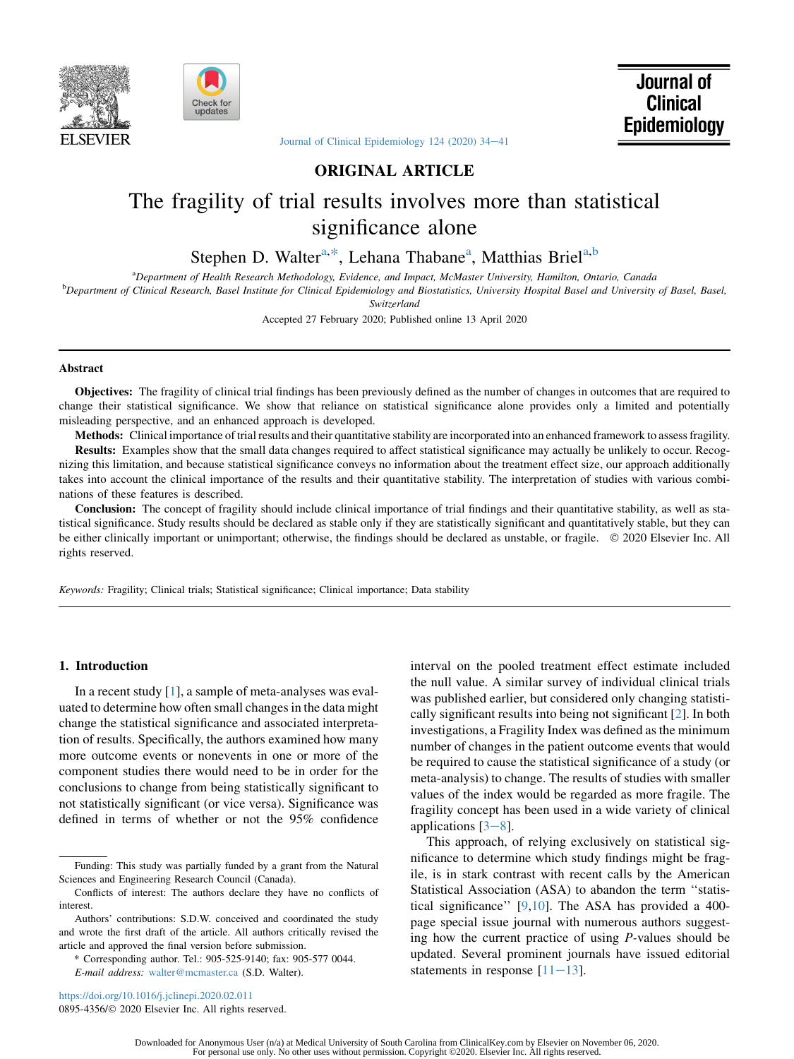



Journal of **Clinical** Epidemiology

[Journal of Clinical Epidemiology 124 \(2020\) 34](https://doi.org/10.1016/j.jclinepi.2020.02.011)-[41](https://doi.org/10.1016/j.jclinepi.2020.02.011)

ORIGINAL ARTICLE

# The fragility of trial results involves more than statistical significance alone

Stephen D. Walter<sup>[a,](#page-0-0)[\\*](#page-0-1)</sup>, Leh[a](#page-0-0)na Tha[b](#page-0-2)ane<sup>a</sup>, Matthias Briel<sup>a,b</sup>

<span id="page-0-0"></span>a Department of Health Research Methodology, Evidence, and Impact, McMaster University, Hamilton, Ontario, Canada

<span id="page-0-2"></span>**b** Department of Clinical Research, Basel Institute for Clinical Epidemiology and Biostatistics, University Hospital Basel and University of Basel, Basel, Switzerland

Accepted 27 February 2020; Published online 13 April 2020

#### Abstract

Objectives: The fragility of clinical trial findings has been previously defined as the number of changes in outcomes that are required to change their statistical significance. We show that reliance on statistical significance alone provides only a limited and potentially misleading perspective, and an enhanced approach is developed.

Methods: Clinical importance of trial results and their quantitative stability are incorporated into an enhanced framework to assess fragility.

Results: Examples show that the small data changes required to affect statistical significance may actually be unlikely to occur. Recognizing this limitation, and because statistical significance conveys no information about the treatment effect size, our approach additionally takes into account the clinical importance of the results and their quantitative stability. The interpretation of studies with various combinations of these features is described.

Conclusion: The concept of fragility should include clinical importance of trial findings and their quantitative stability, as well as statistical significance. Study results should be declared as stable only if they are statistically significant and quantitatively stable, but they can be either clinically important or unimportant; otherwise, the findings should be declared as unstable, or fragile.  $\oslash$  2020 Elsevier Inc. All rights reserved.

Keywords: Fragility; Clinical trials; Statistical significance; Clinical importance; Data stability

#### 1. Introduction

In a recent study [[1\]](#page-6-0), a sample of meta-analyses was evaluated to determine how often small changes in the data might change the statistical significance and associated interpretation of results. Specifically, the authors examined how many more outcome events or nonevents in one or more of the component studies there would need to be in order for the conclusions to change from being statistically significant to not statistically significant (or vice versa). Significance was defined in terms of whether or not the 95% confidence interval on the pooled treatment effect estimate included the null value. A similar survey of individual clinical trials was published earlier, but considered only changing statistically significant results into being not significant [\[2](#page-6-1)]. In both investigations, a Fragility Index was defined as the minimum number of changes in the patient outcome events that would be required to cause the statistical significance of a study (or meta-analysis) to change. The results of studies with smaller values of the index would be regarded as more fragile. The fragility concept has been used in a wide variety of clinical applications  $[3-8]$  $[3-8]$  $[3-8]$  $[3-8]$ .

This approach, of relying exclusively on statistical significance to determine which study findings might be fragile, is in stark contrast with recent calls by the American Statistical Association (ASA) to abandon the term ''statistical significance'' [\[9](#page-6-3),[10\]](#page-6-4). The ASA has provided a 400 page special issue journal with numerous authors suggesting how the current practice of using P-values should be updated. Several prominent journals have issued editorial statements in response  $[11-13]$  $[11-13]$  $[11-13]$ .

<https://doi.org/10.1016/j.jclinepi.2020.02.011> 0895-4356/© 2020 Elsevier Inc. All rights reserved.

Funding: This study was partially funded by a grant from the Natural Sciences and Engineering Research Council (Canada).

Conflicts of interest: The authors declare they have no conflicts of interest.

Authors' contributions: S.D.W. conceived and coordinated the study and wrote the first draft of the article. All authors critically revised the article and approved the final version before submission.

<span id="page-0-1"></span><sup>\*</sup> Corresponding author. Tel.: 905-525-9140; fax: 905-577 0044. E-mail address: [walter@mcmaster.ca](mailto:walter@mcmaster.ca) (S.D. Walter).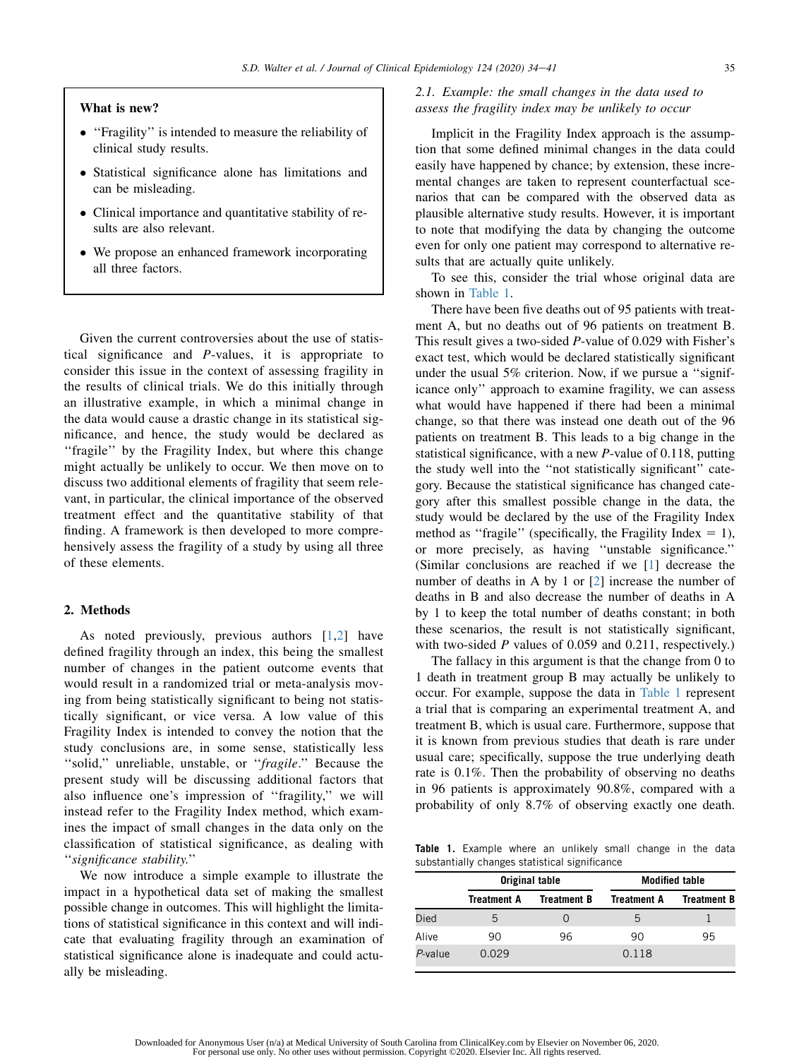#### What is new?

- "Fragility" is intended to measure the reliability of clinical study results.
- Statistical significance alone has limitations and can be misleading.
- Clinical importance and quantitative stability of results are also relevant.
- We propose an enhanced framework incorporating all three factors.

Given the current controversies about the use of statistical significance and P-values, it is appropriate to consider this issue in the context of assessing fragility in the results of clinical trials. We do this initially through an illustrative example, in which a minimal change in the data would cause a drastic change in its statistical significance, and hence, the study would be declared as ''fragile'' by the Fragility Index, but where this change might actually be unlikely to occur. We then move on to discuss two additional elements of fragility that seem relevant, in particular, the clinical importance of the observed treatment effect and the quantitative stability of that finding. A framework is then developed to more comprehensively assess the fragility of a study by using all three of these elements.

### 2. Methods

As noted previously, previous authors [\[1](#page-6-0),[2](#page-6-1)] have defined fragility through an index, this being the smallest number of changes in the patient outcome events that would result in a randomized trial or meta-analysis moving from being statistically significant to being not statistically significant, or vice versa. A low value of this Fragility Index is intended to convey the notion that the study conclusions are, in some sense, statistically less "solid," unreliable, unstable, or "fragile." Because the present study will be discussing additional factors that also influence one's impression of ''fragility,'' we will instead refer to the Fragility Index method, which examines the impact of small changes in the data only on the classification of statistical significance, as dealing with ''significance stability.''

We now introduce a simple example to illustrate the impact in a hypothetical data set of making the smallest possible change in outcomes. This will highlight the limitations of statistical significance in this context and will indicate that evaluating fragility through an examination of statistical significance alone is inadequate and could actually be misleading.

## 2.1. Example: the small changes in the data used to assess the fragility index may be unlikely to occur

Implicit in the Fragility Index approach is the assumption that some defined minimal changes in the data could easily have happened by chance; by extension, these incremental changes are taken to represent counterfactual scenarios that can be compared with the observed data as plausible alternative study results. However, it is important to note that modifying the data by changing the outcome even for only one patient may correspond to alternative results that are actually quite unlikely.

To see this, consider the trial whose original data are shown in [Table 1.](#page-1-0)

There have been five deaths out of 95 patients with treatment A, but no deaths out of 96 patients on treatment B. This result gives a two-sided P-value of 0.029 with Fisher's exact test, which would be declared statistically significant under the usual 5% criterion. Now, if we pursue a ''significance only'' approach to examine fragility, we can assess what would have happened if there had been a minimal change, so that there was instead one death out of the 96 patients on treatment B. This leads to a big change in the statistical significance, with a new P-value of 0.118, putting the study well into the ''not statistically significant'' category. Because the statistical significance has changed category after this smallest possible change in the data, the study would be declared by the use of the Fragility Index method as "fragile" (specifically, the Fragility Index  $= 1$ ), or more precisely, as having ''unstable significance.'' (Similar conclusions are reached if we [[1\]](#page-6-0) decrease the number of deaths in A by 1 or [[2](#page-6-1)] increase the number of deaths in B and also decrease the number of deaths in A by 1 to keep the total number of deaths constant; in both these scenarios, the result is not statistically significant, with two-sided P values of 0.059 and 0.211, respectively.)

The fallacy in this argument is that the change from 0 to 1 death in treatment group B may actually be unlikely to occur. For example, suppose the data in [Table 1](#page-1-0) represent a trial that is comparing an experimental treatment A, and treatment B, which is usual care. Furthermore, suppose that it is known from previous studies that death is rare under usual care; specifically, suppose the true underlying death rate is 0.1%. Then the probability of observing no deaths in 96 patients is approximately 90.8%, compared with a probability of only 8.7% of observing exactly one death.

<span id="page-1-0"></span>**Table 1.** Example where an unlikely small change in the data substantially changes statistical significance

|            |                    | Original table     | <b>Modified table</b> |                    |  |
|------------|--------------------|--------------------|-----------------------|--------------------|--|
|            | <b>Treatment A</b> | <b>Treatment B</b> | <b>Treatment A</b>    | <b>Treatment B</b> |  |
| Died       | 5                  |                    | b                     |                    |  |
| Alive      | 90                 | 96                 | 90                    | 95                 |  |
| $P$ -value | 0.029              |                    | 0.118                 |                    |  |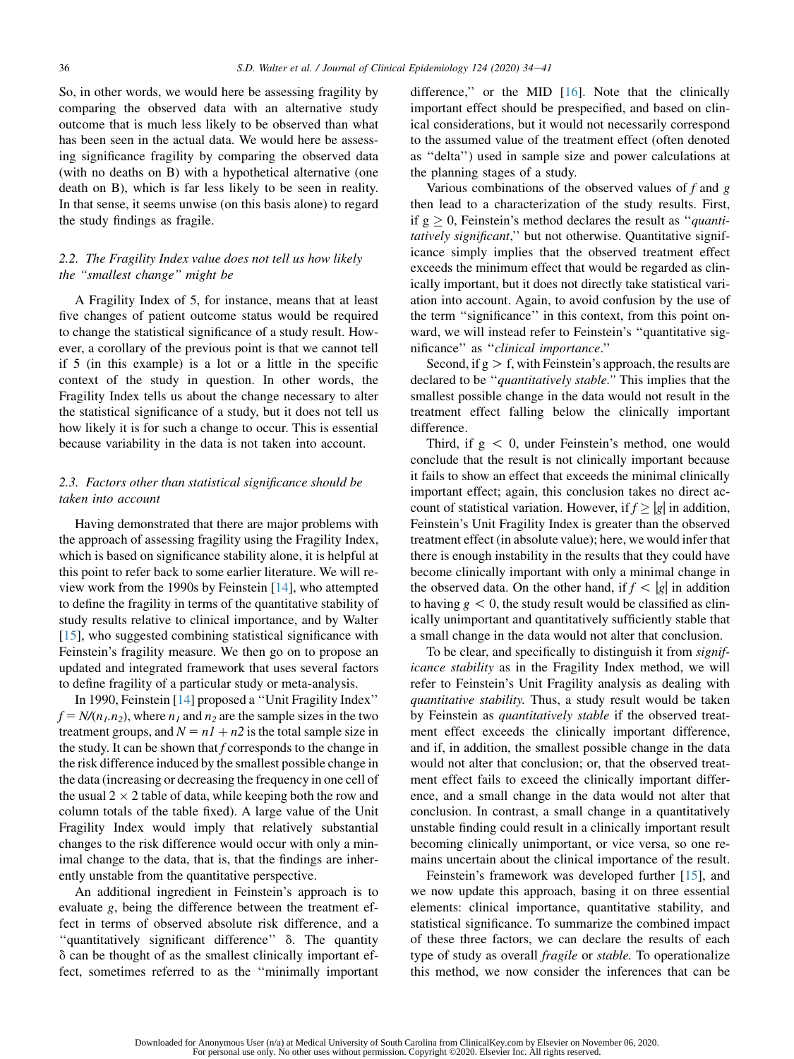So, in other words, we would here be assessing fragility by comparing the observed data with an alternative study outcome that is much less likely to be observed than what has been seen in the actual data. We would here be assessing significance fragility by comparing the observed data (with no deaths on B) with a hypothetical alternative (one death on B), which is far less likely to be seen in reality. In that sense, it seems unwise (on this basis alone) to regard the study findings as fragile.

## 2.2. The Fragility Index value does not tell us how likely the ''smallest change'' might be

A Fragility Index of 5, for instance, means that at least five changes of patient outcome status would be required to change the statistical significance of a study result. However, a corollary of the previous point is that we cannot tell if 5 (in this example) is a lot or a little in the specific context of the study in question. In other words, the Fragility Index tells us about the change necessary to alter the statistical significance of a study, but it does not tell us how likely it is for such a change to occur. This is essential because variability in the data is not taken into account.

# 2.3. Factors other than statistical significance should be taken into account

Having demonstrated that there are major problems with the approach of assessing fragility using the Fragility Index, which is based on significance stability alone, it is helpful at this point to refer back to some earlier literature. We will review work from the 1990s by Feinstein [[14\]](#page-7-0), who attempted to define the fragility in terms of the quantitative stability of study results relative to clinical importance, and by Walter [\[15](#page-7-1)], who suggested combining statistical significance with Feinstein's fragility measure. We then go on to propose an updated and integrated framework that uses several factors to define fragility of a particular study or meta-analysis.

In 1990, Feinstein [[14\]](#page-7-0) proposed a ''Unit Fragility Index''  $f = N/(n_1.n_2)$ , where  $n_1$  and  $n_2$  are the sample sizes in the two treatment groups, and  $N = nI + n2$  is the total sample size in the study. It can be shown that  $f$  corresponds to the change in the risk difference induced by the smallest possible change in the data (increasing or decreasing the frequency in one cell of the usual  $2 \times 2$  table of data, while keeping both the row and column totals of the table fixed). A large value of the Unit Fragility Index would imply that relatively substantial changes to the risk difference would occur with only a minimal change to the data, that is, that the findings are inherently unstable from the quantitative perspective.

An additional ingredient in Feinstein's approach is to evaluate g, being the difference between the treatment effect in terms of observed absolute risk difference, and a "quantitatively significant difference"  $\delta$ . The quantity  $\delta$  can be thought of as the smallest clinically important effect, sometimes referred to as the ''minimally important difference,'' or the MID [\[16](#page-7-2)]. Note that the clinically important effect should be prespecified, and based on clinical considerations, but it would not necessarily correspond to the assumed value of the treatment effect (often denoted as ''delta'') used in sample size and power calculations at the planning stages of a study.

Various combinations of the observed values of f and  $g$ then lead to a characterization of the study results. First, if  $g \ge 0$ , Feinstein's method declares the result as "*quanti*tatively significant," but not otherwise. Quantitative significance simply implies that the observed treatment effect exceeds the minimum effect that would be regarded as clinically important, but it does not directly take statistical variation into account. Again, to avoid confusion by the use of the term ''significance'' in this context, from this point onward, we will instead refer to Feinstein's ''quantitative significance'' as ''clinical importance.''

Second, if  $g > f$ , with Feinstein's approach, the results are declared to be "*quantitatively stable*." This implies that the smallest possible change in the data would not result in the treatment effect falling below the clinically important difference.

Third, if  $g \nless 0$ , under Feinstein's method, one would conclude that the result is not clinically important because it fails to show an effect that exceeds the minimal clinically important effect; again, this conclusion takes no direct account of statistical variation. However, if  $f \ge |g|$  in addition, Feinstein's Unit Fragility Index is greater than the observed treatment effect (in absolute value); here, we would infer that there is enough instability in the results that they could have become clinically important with only a minimal change in the observed data. On the other hand, if  $f < |g|$  in addition to having  $g < 0$ , the study result would be classified as clinically unimportant and quantitatively sufficiently stable that a small change in the data would not alter that conclusion.

To be clear, and specifically to distinguish it from *signif*icance stability as in the Fragility Index method, we will refer to Feinstein's Unit Fragility analysis as dealing with quantitative stability. Thus, a study result would be taken by Feinstein as quantitatively stable if the observed treatment effect exceeds the clinically important difference, and if, in addition, the smallest possible change in the data would not alter that conclusion; or, that the observed treatment effect fails to exceed the clinically important difference, and a small change in the data would not alter that conclusion. In contrast, a small change in a quantitatively unstable finding could result in a clinically important result becoming clinically unimportant, or vice versa, so one remains uncertain about the clinical importance of the result.

Feinstein's framework was developed further [\[15](#page-7-1)], and we now update this approach, basing it on three essential elements: clinical importance, quantitative stability, and statistical significance. To summarize the combined impact of these three factors, we can declare the results of each type of study as overall fragile or stable. To operationalize this method, we now consider the inferences that can be

Downloaded for Anonymous User (n/a) at Medical University of South Carolina from ClinicalKey.com by Elsevier on November 06, 2020.<br>For personal use only. No other uses without permission. Copyright ©2020. Elsevier Inc. All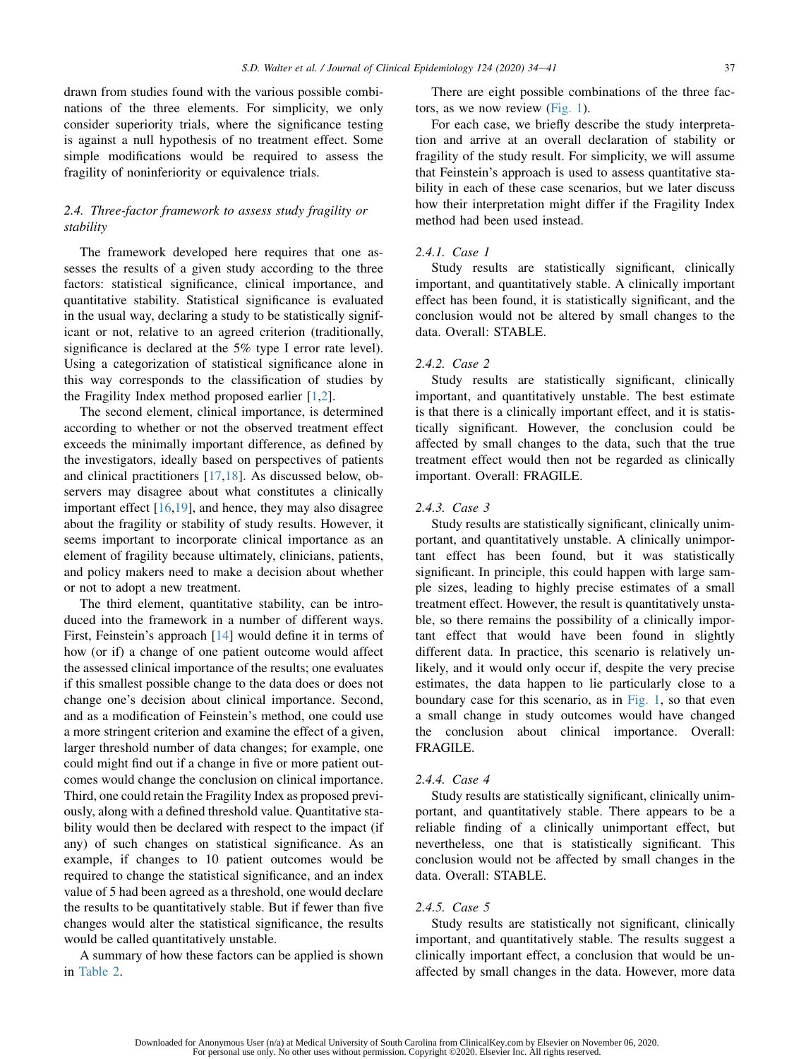drawn from studies found with the various possible combinations of the three elements. For simplicity, we only consider superiority trials, where the significance testing is against a null hypothesis of no treatment effect. Some simple modifications would be required to assess the fragility of noninferiority or equivalence trials.

## 2.4. Three-factor framework to assess study fragility or stability

The framework developed here requires that one assesses the results of a given study according to the three factors: statistical significance, clinical importance, and quantitative stability. Statistical significance is evaluated in the usual way, declaring a study to be statistically significant or not, relative to an agreed criterion (traditionally, significance is declared at the 5% type I error rate level). Using a categorization of statistical significance alone in this way corresponds to the classification of studies by the Fragility Index method proposed earlier [[1](#page-6-0)[,2](#page-6-1)].

The second element, clinical importance, is determined according to whether or not the observed treatment effect exceeds the minimally important difference, as defined by the investigators, ideally based on perspectives of patients and clinical practitioners [[17](#page-7-3)[,18](#page-7-4)]. As discussed below, observers may disagree about what constitutes a clinically important effect [\[16](#page-7-2),[19\]](#page-7-5), and hence, they may also disagree about the fragility or stability of study results. However, it seems important to incorporate clinical importance as an element of fragility because ultimately, clinicians, patients, and policy makers need to make a decision about whether or not to adopt a new treatment.

The third element, quantitative stability, can be introduced into the framework in a number of different ways. First, Feinstein's approach [\[14](#page-7-0)] would define it in terms of how (or if) a change of one patient outcome would affect the assessed clinical importance of the results; one evaluates if this smallest possible change to the data does or does not change one's decision about clinical importance. Second, and as a modification of Feinstein's method, one could use a more stringent criterion and examine the effect of a given, larger threshold number of data changes; for example, one could might find out if a change in five or more patient outcomes would change the conclusion on clinical importance. Third, one could retain the Fragility Index as proposed previously, along with a defined threshold value. Quantitative stability would then be declared with respect to the impact (if any) of such changes on statistical significance. As an example, if changes to 10 patient outcomes would be required to change the statistical significance, and an index value of 5 had been agreed as a threshold, one would declare the results to be quantitatively stable. But if fewer than five changes would alter the statistical significance, the results would be called quantitatively unstable.

A summary of how these factors can be applied is shown in [Table 2](#page-4-0).

There are eight possible combinations of the three factors, as we now review ([Fig. 1](#page-4-1)).

For each case, we briefly describe the study interpretation and arrive at an overall declaration of stability or fragility of the study result. For simplicity, we will assume that Feinstein's approach is used to assess quantitative stability in each of these case scenarios, but we later discuss how their interpretation might differ if the Fragility Index method had been used instead.

#### 2.4.1. Case 1

Study results are statistically significant, clinically important, and quantitatively stable. A clinically important effect has been found, it is statistically significant, and the conclusion would not be altered by small changes to the data. Overall: STABLE.

#### 2.4.2. Case 2

Study results are statistically significant, clinically important, and quantitatively unstable. The best estimate is that there is a clinically important effect, and it is statistically significant. However, the conclusion could be affected by small changes to the data, such that the true treatment effect would then not be regarded as clinically important. Overall: FRAGILE.

#### 2.4.3. Case 3

Study results are statistically significant, clinically unimportant, and quantitatively unstable. A clinically unimportant effect has been found, but it was statistically significant. In principle, this could happen with large sample sizes, leading to highly precise estimates of a small treatment effect. However, the result is quantitatively unstable, so there remains the possibility of a clinically important effect that would have been found in slightly different data. In practice, this scenario is relatively unlikely, and it would only occur if, despite the very precise estimates, the data happen to lie particularly close to a boundary case for this scenario, as in [Fig. 1,](#page-4-1) so that even a small change in study outcomes would have changed the conclusion about clinical importance. Overall: FRAGILE.

## 2.4.4. Case 4

Study results are statistically significant, clinically unimportant, and quantitatively stable. There appears to be a reliable finding of a clinically unimportant effect, but nevertheless, one that is statistically significant. This conclusion would not be affected by small changes in the data. Overall: STABLE.

#### 2.4.5. Case 5

Study results are statistically not significant, clinically important, and quantitatively stable. The results suggest a clinically important effect, a conclusion that would be unaffected by small changes in the data. However, more data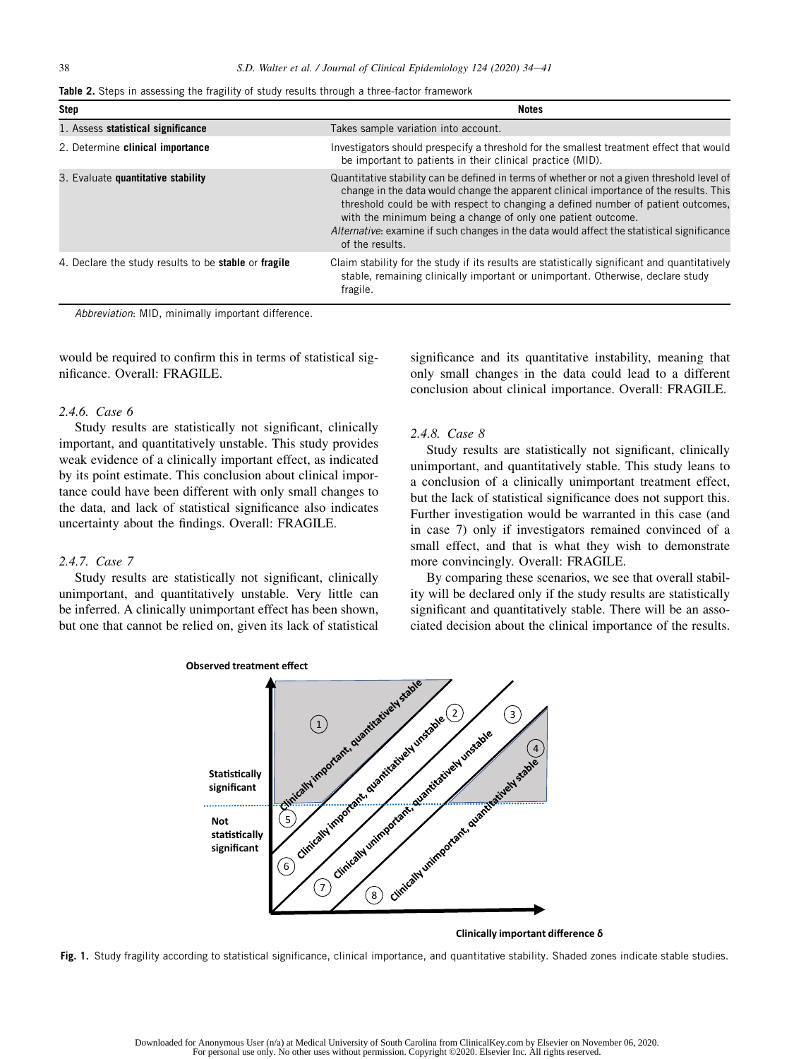<span id="page-4-0"></span>

|  |  |  | <b>Table 2.</b> Steps in assessing the fragility of study results through a three-factor framework |
|--|--|--|----------------------------------------------------------------------------------------------------|
|  |  |  |                                                                                                    |

| <b>Step</b>                                          | <b>Notes</b>                                                                                                                                                                                                                                                                                                                                                                                                                                               |  |  |
|------------------------------------------------------|------------------------------------------------------------------------------------------------------------------------------------------------------------------------------------------------------------------------------------------------------------------------------------------------------------------------------------------------------------------------------------------------------------------------------------------------------------|--|--|
| 1. Assess statistical significance                   | Takes sample variation into account.                                                                                                                                                                                                                                                                                                                                                                                                                       |  |  |
| 2. Determine clinical importance                     | Investigators should prespecify a threshold for the smallest treatment effect that would<br>be important to patients in their clinical practice (MID).                                                                                                                                                                                                                                                                                                     |  |  |
| 3. Evaluate quantitative stability                   | Quantitative stability can be defined in terms of whether or not a given threshold level of<br>change in the data would change the apparent clinical importance of the results. This<br>threshold could be with respect to changing a defined number of patient outcomes,<br>with the minimum being a change of only one patient outcome.<br>Alternative: examine if such changes in the data would affect the statistical significance<br>of the results. |  |  |
| 4. Declare the study results to be stable or fragile | Claim stability for the study if its results are statistically significant and quantitatively<br>stable, remaining clinically important or unimportant. Otherwise, declare study<br>fragile.                                                                                                                                                                                                                                                               |  |  |

Abbreviation: MID, minimally important difference.

would be required to confirm this in terms of statistical significance. Overall: FRAGILE.

### 2.4.6. Case 6

Study results are statistically not significant, clinically important, and quantitatively unstable. This study provides weak evidence of a clinically important effect, as indicated by its point estimate. This conclusion about clinical importance could have been different with only small changes to the data, and lack of statistical significance also indicates uncertainty about the findings. Overall: FRAGILE.

#### 2.4.7. Case 7

<span id="page-4-1"></span>Study results are statistically not significant, clinically unimportant, and quantitatively unstable. Very little can be inferred. A clinically unimportant effect has been shown, but one that cannot be relied on, given its lack of statistical significance and its quantitative instability, meaning that only small changes in the data could lead to a different conclusion about clinical importance. Overall: FRAGILE.

#### 2.4.8. Case 8

Study results are statistically not significant, clinically unimportant, and quantitatively stable. This study leans to a conclusion of a clinically unimportant treatment effect, but the lack of statistical significance does not support this. Further investigation would be warranted in this case (and in case 7) only if investigators remained convinced of a small effect, and that is what they wish to demonstrate more convincingly. Overall: FRAGILE.

By comparing these scenarios, we see that overall stability will be declared only if the study results are statistically significant and quantitatively stable. There will be an associated decision about the clinical importance of the results.



**Clinically important difference δ**

Fig. 1. Study fragility according to statistical significance, clinical importance, and quantitative stability. Shaded zones indicate stable studies.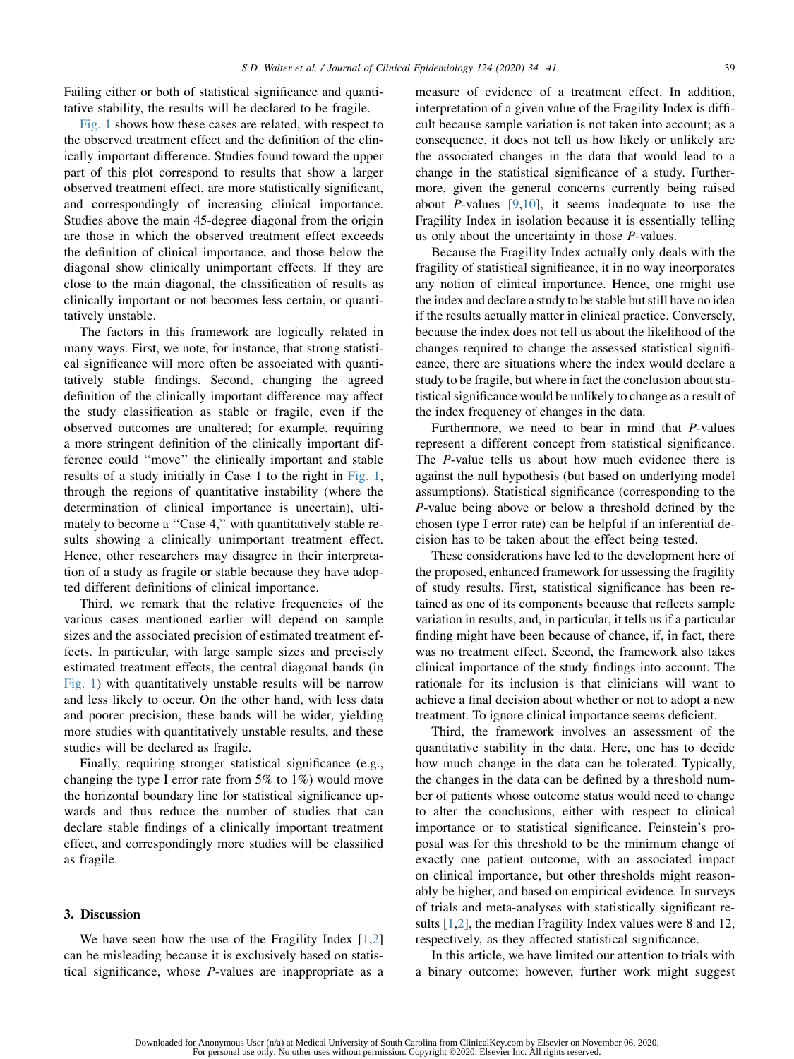Failing either or both of statistical significance and quantitative stability, the results will be declared to be fragile.

[Fig. 1](#page-4-1) shows how these cases are related, with respect to the observed treatment effect and the definition of the clinically important difference. Studies found toward the upper part of this plot correspond to results that show a larger observed treatment effect, are more statistically significant, and correspondingly of increasing clinical importance. Studies above the main 45-degree diagonal from the origin are those in which the observed treatment effect exceeds the definition of clinical importance, and those below the diagonal show clinically unimportant effects. If they are close to the main diagonal, the classification of results as clinically important or not becomes less certain, or quantitatively unstable.

The factors in this framework are logically related in many ways. First, we note, for instance, that strong statistical significance will more often be associated with quantitatively stable findings. Second, changing the agreed definition of the clinically important difference may affect the study classification as stable or fragile, even if the observed outcomes are unaltered; for example, requiring a more stringent definition of the clinically important difference could ''move'' the clinically important and stable results of a study initially in Case 1 to the right in [Fig. 1](#page-4-1), through the regions of quantitative instability (where the determination of clinical importance is uncertain), ultimately to become a "Case 4," with quantitatively stable results showing a clinically unimportant treatment effect. Hence, other researchers may disagree in their interpretation of a study as fragile or stable because they have adopted different definitions of clinical importance.

Third, we remark that the relative frequencies of the various cases mentioned earlier will depend on sample sizes and the associated precision of estimated treatment effects. In particular, with large sample sizes and precisely estimated treatment effects, the central diagonal bands (in [Fig. 1](#page-4-1)) with quantitatively unstable results will be narrow and less likely to occur. On the other hand, with less data and poorer precision, these bands will be wider, yielding more studies with quantitatively unstable results, and these studies will be declared as fragile.

Finally, requiring stronger statistical significance (e.g., changing the type I error rate from 5% to 1%) would move the horizontal boundary line for statistical significance upwards and thus reduce the number of studies that can declare stable findings of a clinically important treatment effect, and correspondingly more studies will be classified as fragile.

## 3. Discussion

We have seen how the use of the Fragility Index [\[1](#page-6-0),[2\]](#page-6-1) can be misleading because it is exclusively based on statistical significance, whose P-values are inappropriate as a

measure of evidence of a treatment effect. In addition, interpretation of a given value of the Fragility Index is difficult because sample variation is not taken into account; as a consequence, it does not tell us how likely or unlikely are the associated changes in the data that would lead to a change in the statistical significance of a study. Furthermore, given the general concerns currently being raised about *P*-values  $[9,10]$  $[9,10]$  $[9,10]$ , it seems inadequate to use the Fragility Index in isolation because it is essentially telling us only about the uncertainty in those P-values.

Because the Fragility Index actually only deals with the fragility of statistical significance, it in no way incorporates any notion of clinical importance. Hence, one might use the index and declare a study to be stable but still have no idea if the results actually matter in clinical practice. Conversely, because the index does not tell us about the likelihood of the changes required to change the assessed statistical significance, there are situations where the index would declare a study to be fragile, but where in fact the conclusion about statistical significance would be unlikely to change as a result of the index frequency of changes in the data.

Furthermore, we need to bear in mind that P-values represent a different concept from statistical significance. The P-value tells us about how much evidence there is against the null hypothesis (but based on underlying model assumptions). Statistical significance (corresponding to the P-value being above or below a threshold defined by the chosen type I error rate) can be helpful if an inferential decision has to be taken about the effect being tested.

These considerations have led to the development here of the proposed, enhanced framework for assessing the fragility of study results. First, statistical significance has been retained as one of its components because that reflects sample variation in results, and, in particular, it tells us if a particular finding might have been because of chance, if, in fact, there was no treatment effect. Second, the framework also takes clinical importance of the study findings into account. The rationale for its inclusion is that clinicians will want to achieve a final decision about whether or not to adopt a new treatment. To ignore clinical importance seems deficient.

Third, the framework involves an assessment of the quantitative stability in the data. Here, one has to decide how much change in the data can be tolerated. Typically, the changes in the data can be defined by a threshold number of patients whose outcome status would need to change to alter the conclusions, either with respect to clinical importance or to statistical significance. Feinstein's proposal was for this threshold to be the minimum change of exactly one patient outcome, with an associated impact on clinical importance, but other thresholds might reasonably be higher, and based on empirical evidence. In surveys of trials and meta-analyses with statistically significant results [[1](#page-6-0)[,2](#page-6-1)], the median Fragility Index values were 8 and 12, respectively, as they affected statistical significance.

In this article, we have limited our attention to trials with a binary outcome; however, further work might suggest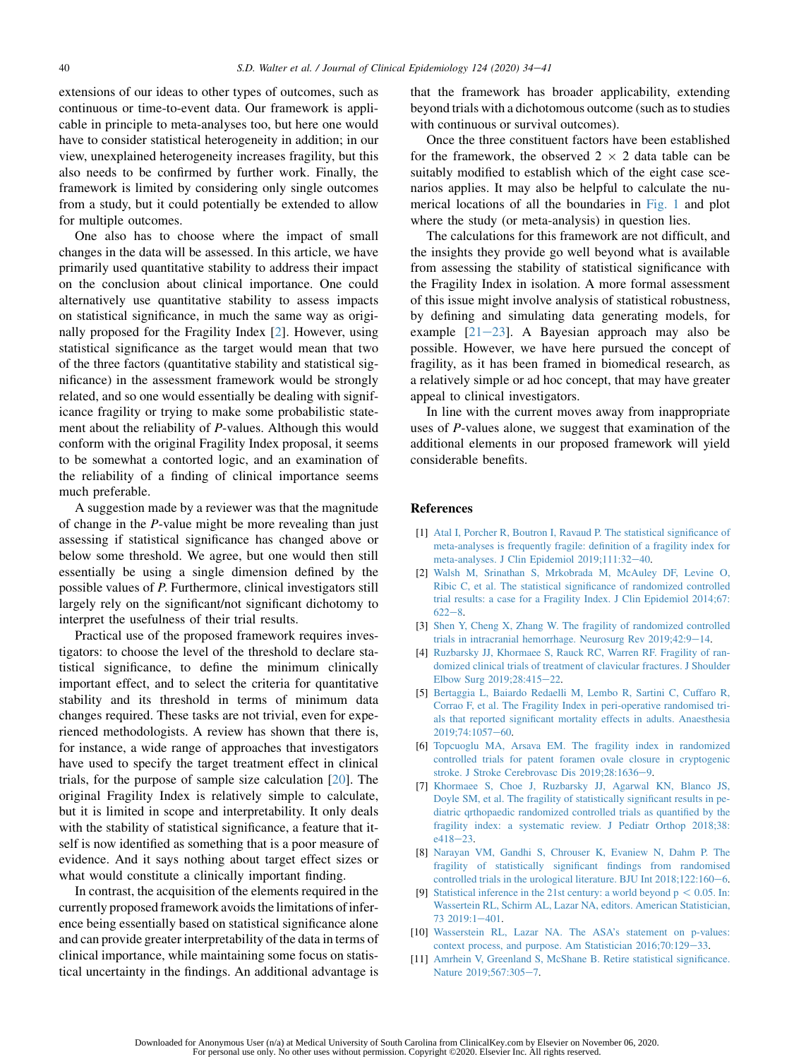extensions of our ideas to other types of outcomes, such as continuous or time-to-event data. Our framework is applicable in principle to meta-analyses too, but here one would have to consider statistical heterogeneity in addition; in our view, unexplained heterogeneity increases fragility, but this also needs to be confirmed by further work. Finally, the framework is limited by considering only single outcomes from a study, but it could potentially be extended to allow for multiple outcomes.

One also has to choose where the impact of small changes in the data will be assessed. In this article, we have primarily used quantitative stability to address their impact on the conclusion about clinical importance. One could alternatively use quantitative stability to assess impacts on statistical significance, in much the same way as originally proposed for the Fragility Index [[2\]](#page-6-1). However, using statistical significance as the target would mean that two of the three factors (quantitative stability and statistical significance) in the assessment framework would be strongly related, and so one would essentially be dealing with significance fragility or trying to make some probabilistic statement about the reliability of P-values. Although this would conform with the original Fragility Index proposal, it seems to be somewhat a contorted logic, and an examination of the reliability of a finding of clinical importance seems much preferable.

A suggestion made by a reviewer was that the magnitude of change in the P-value might be more revealing than just assessing if statistical significance has changed above or below some threshold. We agree, but one would then still essentially be using a single dimension defined by the possible values of P. Furthermore, clinical investigators still largely rely on the significant/not significant dichotomy to interpret the usefulness of their trial results.

Practical use of the proposed framework requires investigators: to choose the level of the threshold to declare statistical significance, to define the minimum clinically important effect, and to select the criteria for quantitative stability and its threshold in terms of minimum data changes required. These tasks are not trivial, even for experienced methodologists. A review has shown that there is, for instance, a wide range of approaches that investigators have used to specify the target treatment effect in clinical trials, for the purpose of sample size calculation [\[20](#page-7-6)]. The original Fragility Index is relatively simple to calculate, but it is limited in scope and interpretability. It only deals with the stability of statistical significance, a feature that itself is now identified as something that is a poor measure of evidence. And it says nothing about target effect sizes or what would constitute a clinically important finding.

In contrast, the acquisition of the elements required in the currently proposed framework avoids the limitations of inference being essentially based on statistical significance alone and can provide greater interpretability of the data in terms of clinical importance, while maintaining some focus on statistical uncertainty in the findings. An additional advantage is

that the framework has broader applicability, extending beyond trials with a dichotomous outcome (such as to studies with continuous or survival outcomes).

Once the three constituent factors have been established for the framework, the observed  $2 \times 2$  data table can be suitably modified to establish which of the eight case scenarios applies. It may also be helpful to calculate the numerical locations of all the boundaries in [Fig. 1](#page-4-1) and plot where the study (or meta-analysis) in question lies.

The calculations for this framework are not difficult, and the insights they provide go well beyond what is available from assessing the stability of statistical significance with the Fragility Index in isolation. A more formal assessment of this issue might involve analysis of statistical robustness, by defining and simulating data generating models, for example  $[21-23]$  $[21-23]$  $[21-23]$  $[21-23]$  $[21-23]$ . A Bayesian approach may also be possible. However, we have here pursued the concept of fragility, as it has been framed in biomedical research, as a relatively simple or ad hoc concept, that may have greater appeal to clinical investigators.

In line with the current moves away from inappropriate uses of P-values alone, we suggest that examination of the additional elements in our proposed framework will yield considerable benefits.

#### <span id="page-6-0"></span>References

- [1] [Atal I, Porcher R, Boutron I, Ravaud P. The statistical significance of](http://refhub.elsevier.com/S0895-4356(19)31082-0/sref1) [meta-analyses is frequently fragile: definition of a fragility index for](http://refhub.elsevier.com/S0895-4356(19)31082-0/sref1) [meta-analyses. J Clin Epidemiol 2019;111:32](http://refhub.elsevier.com/S0895-4356(19)31082-0/sref1)-[40](http://refhub.elsevier.com/S0895-4356(19)31082-0/sref1).
- <span id="page-6-1"></span>[2] [Walsh M, Srinathan S, Mrkobrada M, McAuley DF, Levine O,](http://refhub.elsevier.com/S0895-4356(19)31082-0/sref2) [Ribic C, et al. The statistical significance of randomized controlled](http://refhub.elsevier.com/S0895-4356(19)31082-0/sref2) [trial results: a case for a Fragility Index. J Clin Epidemiol 2014;67:](http://refhub.elsevier.com/S0895-4356(19)31082-0/sref2)  $622 - 8$  $622 - 8$  $622 - 8$
- <span id="page-6-2"></span>[3] [Shen Y, Cheng X, Zhang W. The fragility of randomized controlled](http://refhub.elsevier.com/S0895-4356(19)31082-0/sref3) trials in intracranial hemorrhage. Neurosurg Rev  $2019;42:9-14$  $2019;42:9-14$ .
- [4] [Ruzbarsky JJ, Khormaee S, Rauck RC, Warren RF. Fragility of ran](http://refhub.elsevier.com/S0895-4356(19)31082-0/sref4)[domized clinical trials of treatment of clavicular fractures. J Shoulder](http://refhub.elsevier.com/S0895-4356(19)31082-0/sref4) [Elbow Surg 2019;28:415](http://refhub.elsevier.com/S0895-4356(19)31082-0/sref4)-[22](http://refhub.elsevier.com/S0895-4356(19)31082-0/sref4).
- [5] [Bertaggia L, Baiardo Redaelli M, Lembo R, Sartini C, Cuffaro R,](http://refhub.elsevier.com/S0895-4356(19)31082-0/sref5) [Corrao F, et al. The Fragility Index in peri-operative randomised tri](http://refhub.elsevier.com/S0895-4356(19)31082-0/sref5)[als that reported significant mortality effects in adults. Anaesthesia](http://refhub.elsevier.com/S0895-4356(19)31082-0/sref5) 2019:74:1057-[60](http://refhub.elsevier.com/S0895-4356(19)31082-0/sref5).
- [6] [Topcuoglu MA, Arsava EM. The fragility index in randomized](http://refhub.elsevier.com/S0895-4356(19)31082-0/sref6) [controlled trials for patent foramen ovale closure in cryptogenic](http://refhub.elsevier.com/S0895-4356(19)31082-0/sref6) [stroke. J Stroke Cerebrovasc Dis 2019;28:1636](http://refhub.elsevier.com/S0895-4356(19)31082-0/sref6)-[9.](http://refhub.elsevier.com/S0895-4356(19)31082-0/sref6)
- [7] [Khormaee S, Choe J, Ruzbarsky JJ, Agarwal KN, Blanco JS,](http://refhub.elsevier.com/S0895-4356(19)31082-0/sref7) [Doyle SM, et al. The fragility of statistically significant results in pe](http://refhub.elsevier.com/S0895-4356(19)31082-0/sref7)[diatric qrthopaedic randomized controlled trials as quantified by the](http://refhub.elsevier.com/S0895-4356(19)31082-0/sref7) [fragility index: a systematic review. J Pediatr Orthop 2018;38:](http://refhub.elsevier.com/S0895-4356(19)31082-0/sref7) [e418](http://refhub.elsevier.com/S0895-4356(19)31082-0/sref7)-[23.](http://refhub.elsevier.com/S0895-4356(19)31082-0/sref7)
- [8] [Narayan VM, Gandhi S, Chrouser K, Evaniew N, Dahm P. The](http://refhub.elsevier.com/S0895-4356(19)31082-0/sref8) [fragility of statistically significant findings from randomised](http://refhub.elsevier.com/S0895-4356(19)31082-0/sref8) controlled trials in the urological literature. BJU Int  $2018;122:160-6$  $2018;122:160-6$  $2018;122:160-6$ .
- <span id="page-6-3"></span>[9] Statistical inference in the 21st century: a world beyond  $p < 0.05$ . In: [Wassertein RL, Schirm AL, Lazar NA, editors. American Statistician,](http://refhub.elsevier.com/S0895-4356(19)31082-0/sref9) [73 2019:1](http://refhub.elsevier.com/S0895-4356(19)31082-0/sref9)-[401.](http://refhub.elsevier.com/S0895-4356(19)31082-0/sref9)
- <span id="page-6-5"></span><span id="page-6-4"></span>[10] [Wasserstein RL, Lazar NA. The ASA's statement on p-values:](http://refhub.elsevier.com/S0895-4356(19)31082-0/sref10) context process, and purpose. Am Statistician  $2016;70:129-33$ .
- [11] [Amrhein V, Greenland S, McShane B. Retire statistical significance.](http://refhub.elsevier.com/S0895-4356(19)31082-0/sref11) [Nature 2019;567:305](http://refhub.elsevier.com/S0895-4356(19)31082-0/sref11)-[7.](http://refhub.elsevier.com/S0895-4356(19)31082-0/sref11)